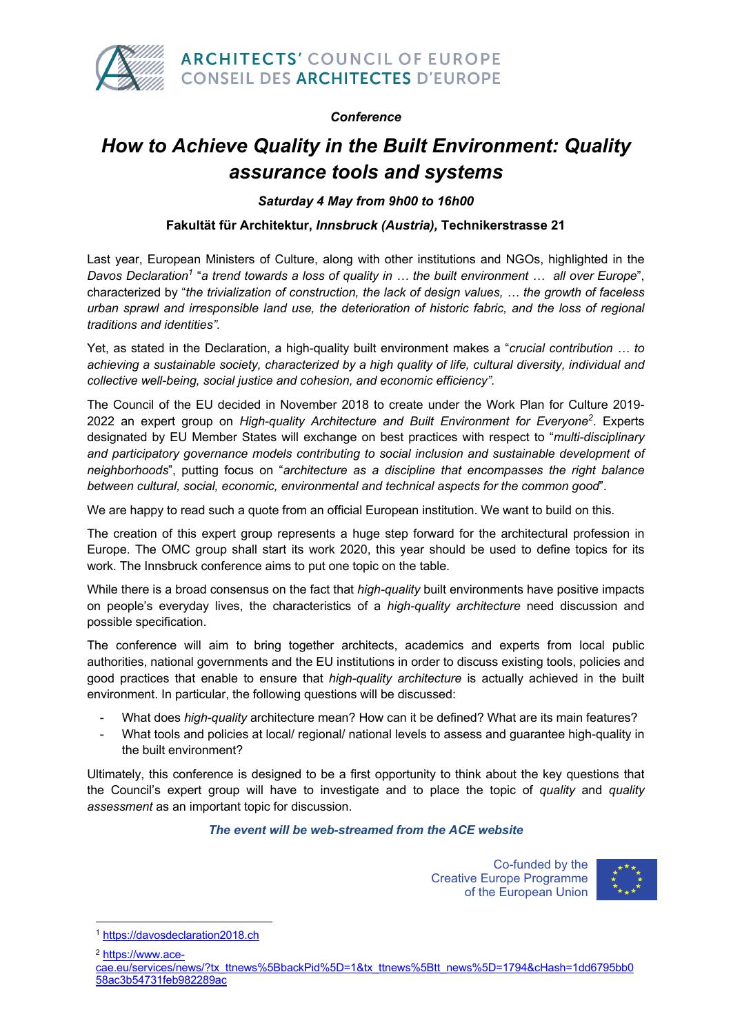

#### *Conference*

# *How to Achieve Quality in the Built Environment: Quality assurance tools and systems*

*Saturday 4 May from 9h00 to 16h00*

#### **Fakultät für Architektur,** *Innsbruck (Austria),* **Technikerstrasse 21**

Last year, European Ministers of Culture, along with other institutions and NGOs, highlighted in the *Davos Declaration1* "*a trend towards a loss of quality in … the built environment … all over Europe*", characterized by "*the trivialization of construction, the lack of design values, … the growth of faceless urban sprawl and irresponsible land use, the deterioration of historic fabric, and the loss of regional traditions and identities".*

Yet, as stated in the Declaration, a high-quality built environment makes a "*crucial contribution … to achieving a sustainable society, characterized by a high quality of life, cultural diversity, individual and collective well-being, social justice and cohesion, and economic efficiency".*

The Council of the EU decided in November 2018 to create under the Work Plan for Culture 2019- 2022 an expert group on *High-quality Architecture and Built Environment for Everyone2* . Experts designated by EU Member States will exchange on best practices with respect to "*multi-disciplinary and participatory governance models contributing to social inclusion and sustainable development of neighborhoods*", putting focus on "*architecture as a discipline that encompasses the right balance between cultural, social, economic, environmental and technical aspects for the common good*".

We are happy to read such a quote from an official European institution. We want to build on this.

The creation of this expert group represents a huge step forward for the architectural profession in Europe. The OMC group shall start its work 2020, this year should be used to define topics for its work. The Innsbruck conference aims to put one topic on the table.

While there is a broad consensus on the fact that *high-quality* built environments have positive impacts on people's everyday lives, the characteristics of a *high-quality architecture* need discussion and possible specification.

The conference will aim to bring together architects, academics and experts from local public authorities, national governments and the EU institutions in order to discuss existing tools, policies and good practices that enable to ensure that *high-quality architecture* is actually achieved in the built environment. In particular, the following questions will be discussed:

- What does *high-quality* architecture mean? How can it be defined? What are its main features?
- What tools and policies at local/ regional/ national levels to assess and guarantee high-quality in the built environment?

Ultimately, this conference is designed to be a first opportunity to think about the key questions that the Council's expert group will have to investigate and to place the topic of *quality* and *quality assessment* as an important topic for discussion.

#### *The event will be web-streamed from the ACE website*

Co-funded by the Creative Europe Programme of the European Union



<sup>2</sup> https://www.ace-

 $\overline{a}$ 

<sup>1</sup> https://davosdeclaration2018.ch

cae.eu/services/news/?tx\_ttnews%5BbackPid%5D=1&tx\_ttnews%5Btt\_news%5D=1794&cHash=1dd6795bb0 58ac3b54731feb982289ac